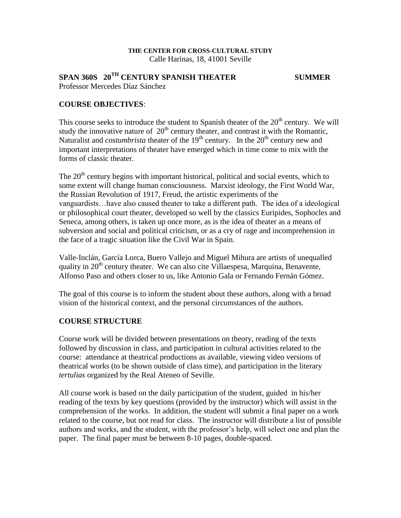#### **THE CENTER FOR CROSS-CULTURAL STUDY** Calle Harinas, 18, 41001 Seville

# **SPAN 360S 20TH CENTURY SPANISH THEATER SUMMER**

Professor Mercedes Díaz Sánchez

## **COURSE OBJECTIVES**:

This course seeks to introduce the student to Spanish theater of the  $20<sup>th</sup>$  century. We will study the innovative nature of  $20<sup>th</sup>$  century theater, and contrast it with the Romantic, Naturalist and *costumbrista* theater of the  $19<sup>th</sup>$  century. In the  $20<sup>th</sup>$  century new and important interpretations of theater have emerged which in time come to mix with the forms of classic theater.

The  $20<sup>th</sup>$  century begins with important historical, political and social events, which to some extent will change human consciousness. Marxist ideology, the First World War, the Russian Revolution of 1917, Freud, the artistic experiments of the vanguardists…have also caused theater to take a different path. The idea of a ideological or philosophical court theater, developed so well by the classics Euripides, Sophocles and Seneca, among others, is taken up once more, as is the idea of theater as a means of subversion and social and political criticism, or as a cry of rage and incomprehension in the face of a tragic situation like the Civil War in Spain.

Valle-Inclán, García Lorca, Buero Vallejo and Miguel Mihura are artists of unequalled quality in 20<sup>th</sup> century theater. We can also cite Villaespesa, Marquina, Benavente, Alfonso Paso and others closer to us, like Antonio Gala or Fernando Fernán Gómez.

The goal of this course is to inform the student about these authors, along with a broad vision of the historical context, and the personal circumstances of the authors.

## **COURSE STRUCTURE**

Course work will be divided between presentations on theory, reading of the texts followed by discussion in class, and participation in cultural activities related to the course: attendance at theatrical productions as available, viewing video versions of theatrical works (to be shown outside of class time), and participation in the literary *tertulias* organized by the Real Ateneo of Seville.

All course work is based on the daily participation of the student, guided in his/her reading of the texts by key questions (provided by the instructor) which will assist in the comprehension of the works. In addition, the student will submit a final paper on a work related to the course, but not read for class. The instructor will distribute a list of possible authors and works, and the student, with the professor's help, will select one and plan the paper. The final paper must be between 8-10 pages, double-spaced.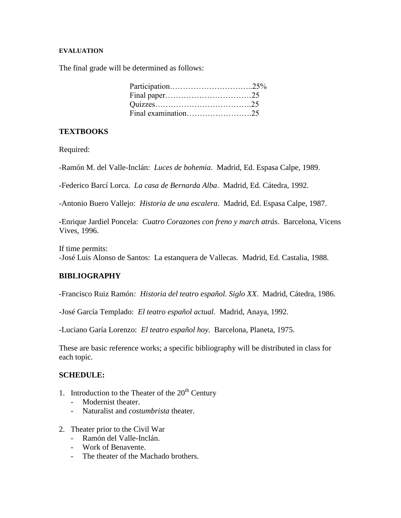#### **EVALUATION**

The final grade will be determined as follows:

# **TEXTBOOKS**

Required:

-Ramón M. del Valle-Inclán: *Luces de bohemia*. Madrid, Ed. Espasa Calpe, 1989.

-Federico Barcí Lorca. *La casa de Bernarda Alba*. Madrid, Ed. Cátedra, 1992.

-Antonio Buero Vallejo: *Historia de una escalera*. Madrid, Ed. Espasa Calpe, 1987.

-Enrique Jardiel Poncela: *Cuatro Corazones con freno y march atrás*. Barcelona, Vicens Vives, 1996.

If time permits: -José Luis Alonso de Santos: La estanquera de Vallecas. Madrid, Ed. Castalia, 1988.

# **BIBLIOGRAPHY**

-Francisco Ruiz Ramón*: Historia del teatro español. Siglo XX*. Madrid, Cátedra, 1986.

-José García Templado: *El teatro español actual.* Madrid, Anaya, 1992.

-Luciano Garía Lorenzo: *El teatro español hoy*. Barcelona, Planeta, 1975.

These are basic reference works; a specific bibliography will be distributed in class for each topic.

## **SCHEDULE:**

- 1. Introduction to the Theater of the  $20<sup>th</sup>$  Century
	- Modernist theater.
	- Naturalist and *costumbrista* theater.
- 2. Theater prior to the Civil War
	- Ramón del Valle-Inclán.
	- Work of Benavente.
	- The theater of the Machado brothers.